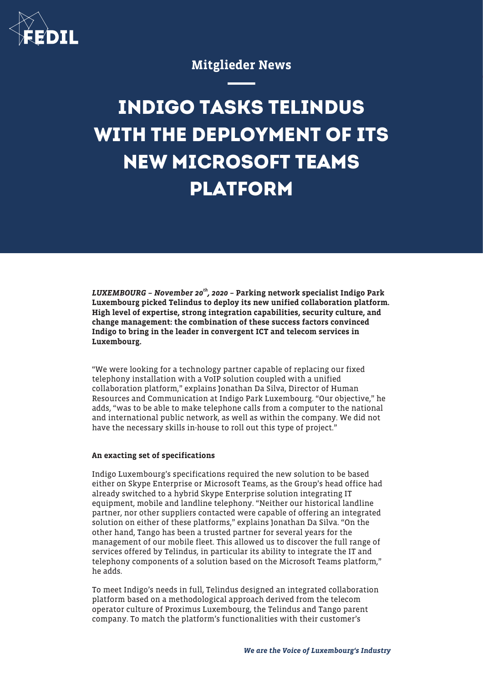

# Mitglieder News

# **INDIGO TASKS TELINDUS WITH THE DEPLOYMENT OF ITS NEW MICROSOFT TEAMS PLATFORM**

LUXEMBOURG - November 20<sup>th</sup>, 2020 - Parking network specialist Indigo Park Luxembourg picked Telindus to deploy its new unified collaboration platform. High level of expertise, strong integration capabilities, security culture, and change management: the combination of these success factors convinced Indigo to bring in the leader in convergent ICT and telecom services in Luxembourg.

"We were looking for a technology partner capable of replacing our fixed telephony installation with a VoIP solution coupled with a unified collaboration platform," explains Jonathan Da Silva, Director of Human Resources and Communication at Indigo Park Luxembourg. "Our objective," he adds, "was to be able to make telephone calls from a computer to the national and international public network, as well as within the company. We did not have the necessary skills in-house to roll out this type of project."

### An exacting set of specifications

Indigo Luxembourg's specifications required the new solution to be based either on Skype Enterprise or Microsoft Teams, as the Group's head office had already switched to a hybrid Skype Enterprise solution integrating IT equipment, mobile and landline telephony. "Neither our historical landline partner, nor other suppliers contacted were capable of offering an integrated solution on either of these platforms," explains Jonathan Da Silva. "On the other hand, Tango has been a trusted partner for several years for the management of our mobile fleet. This allowed us to discover the full range of services offered by Telindus, in particular its ability to integrate the IT and telephony components of a solution based on the Microsoft Teams platform," he adds.

To meet Indigo's needs in full, Telindus designed an integrated collaboration platform based on a methodological approach derived from the telecom operator culture of Proximus Luxembourg, the Telindus and Tango parent company. To match the platform's functionalities with their customer's